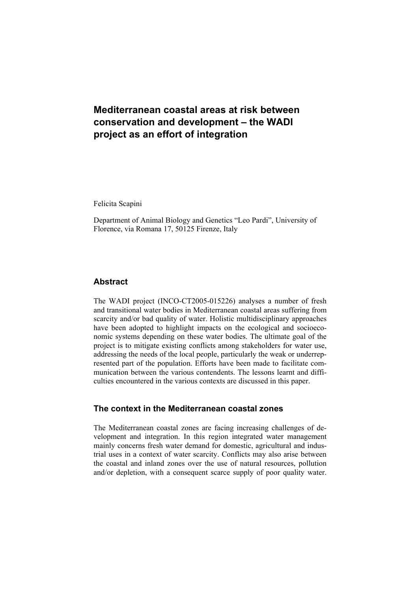# **Mediterranean coastal areas at risk between conservation and development – the WADI project as an effort of integration**

Felicita Scapini

Department of Animal Biology and Genetics "Leo Pardi", University of Florence, via Romana 17, 50125 Firenze, Italy

## **Abstract**

The WADI project (INCO-CT2005-015226) analyses a number of fresh and transitional water bodies in Mediterranean coastal areas suffering from scarcity and/or bad quality of water. Holistic multidisciplinary approaches have been adopted to highlight impacts on the ecological and socioeconomic systems depending on these water bodies. The ultimate goal of the project is to mitigate existing conflicts among stakeholders for water use, addressing the needs of the local people, particularly the weak or underrepresented part of the population. Efforts have been made to facilitate communication between the various contendents. The lessons learnt and difficulties encountered in the various contexts are discussed in this paper.

## **The context in the Mediterranean coastal zones**

The Mediterranean coastal zones are facing increasing challenges of development and integration. In this region integrated water management mainly concerns fresh water demand for domestic, agricultural and industrial uses in a context of water scarcity. Conflicts may also arise between the coastal and inland zones over the use of natural resources, pollution and/or depletion, with a consequent scarce supply of poor quality water.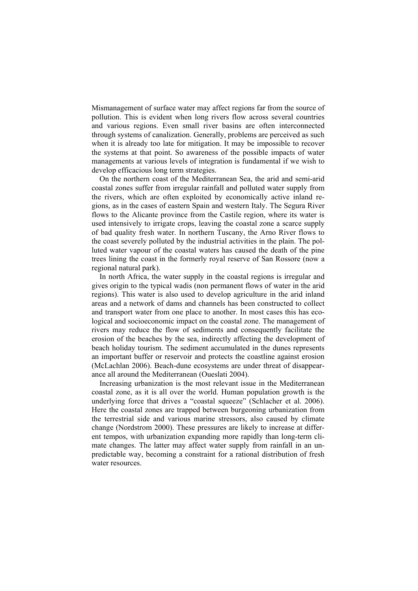Mismanagement of surface water may affect regions far from the source of pollution. This is evident when long rivers flow across several countries and various regions. Even small river basins are often interconnected through systems of canalization. Generally, problems are perceived as such when it is already too late for mitigation. It may be impossible to recover the systems at that point. So awareness of the possible impacts of water managements at various levels of integration is fundamental if we wish to develop efficacious long term strategies.

On the northern coast of the Mediterranean Sea, the arid and semi-arid coastal zones suffer from irregular rainfall and polluted water supply from the rivers, which are often exploited by economically active inland regions, as in the cases of eastern Spain and western Italy. The Segura River flows to the Alicante province from the Castile region, where its water is used intensively to irrigate crops, leaving the coastal zone a scarce supply of bad quality fresh water. In northern Tuscany, the Arno River flows to the coast severely polluted by the industrial activities in the plain. The polluted water vapour of the coastal waters has caused the death of the pine trees lining the coast in the formerly royal reserve of San Rossore (now a regional natural park).

In north Africa, the water supply in the coastal regions is irregular and gives origin to the typical wadis (non permanent flows of water in the arid regions). This water is also used to develop agriculture in the arid inland areas and a network of dams and channels has been constructed to collect and transport water from one place to another. In most cases this has ecological and socioeconomic impact on the coastal zone. The management of rivers may reduce the flow of sediments and consequently facilitate the erosion of the beaches by the sea, indirectly affecting the development of beach holiday tourism. The sediment accumulated in the dunes represents an important buffer or reservoir and protects the coastline against erosion (McLachlan 2006). Beach-dune ecosystems are under threat of disappearance all around the Mediterranean (Oueslati 2004).

Increasing urbanization is the most relevant issue in the Mediterranean coastal zone, as it is all over the world. Human population growth is the underlying force that drives a "coastal squeeze" (Schlacher et al. 2006). Here the coastal zones are trapped between burgeoning urbanization from the terrestrial side and various marine stressors, also caused by climate change (Nordstrom 2000). These pressures are likely to increase at different tempos, with urbanization expanding more rapidly than long-term climate changes. The latter may affect water supply from rainfall in an unpredictable way, becoming a constraint for a rational distribution of fresh water resources.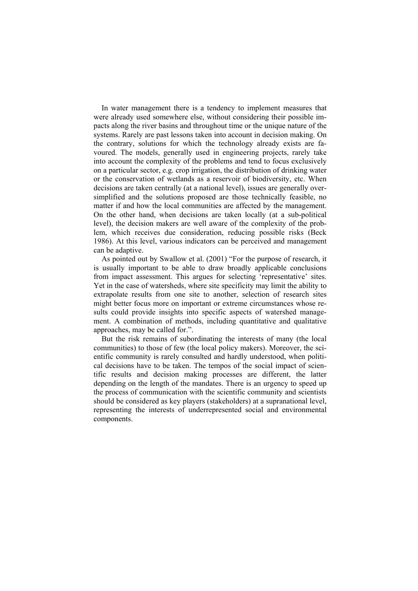In water management there is a tendency to implement measures that were already used somewhere else, without considering their possible impacts along the river basins and throughout time or the unique nature of the systems. Rarely are past lessons taken into account in decision making. On the contrary, solutions for which the technology already exists are favoured. The models, generally used in engineering projects, rarely take into account the complexity of the problems and tend to focus exclusively on a particular sector, e.g. crop irrigation, the distribution of drinking water or the conservation of wetlands as a reservoir of biodiversity, etc. When decisions are taken centrally (at a national level), issues are generally oversimplified and the solutions proposed are those technically feasible, no matter if and how the local communities are affected by the management. On the other hand, when decisions are taken locally (at a sub-political level), the decision makers are well aware of the complexity of the problem, which receives due consideration, reducing possible risks (Beck 1986). At this level, various indicators can be perceived and management can be adaptive.

As pointed out by Swallow et al. (2001) "For the purpose of research, it is usually important to be able to draw broadly applicable conclusions from impact assessment. This argues for selecting 'representative' sites. Yet in the case of watersheds, where site specificity may limit the ability to extrapolate results from one site to another, selection of research sites might better focus more on important or extreme circumstances whose results could provide insights into specific aspects of watershed management. A combination of methods, including quantitative and qualitative approaches, may be called for.".

But the risk remains of subordinating the interests of many (the local communities) to those of few (the local policy makers). Moreover, the scientific community is rarely consulted and hardly understood, when political decisions have to be taken. The tempos of the social impact of scientific results and decision making processes are different, the latter depending on the length of the mandates. There is an urgency to speed up the process of communication with the scientific community and scientists should be considered as key players (stakeholders) at a supranational level, representing the interests of underrepresented social and environmental components.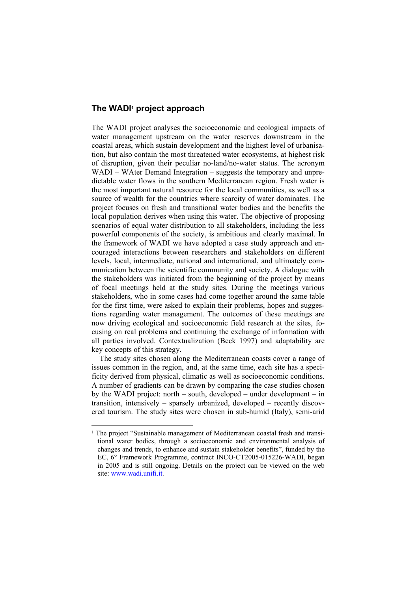## **The WADI1 project approach**

The WADI project analyses the socioeconomic and ecological impacts of water management upstream on the water reserves downstream in the coastal areas, which sustain development and the highest level of urbanisation, but also contain the most threatened water ecosystems, at highest risk of disruption, given their peculiar no-land/no-water status. The acronym WADI – WAter Demand Integration – suggests the temporary and unpredictable water flows in the southern Mediterranean region. Fresh water is the most important natural resource for the local communities, as well as a source of wealth for the countries where scarcity of water dominates. The project focuses on fresh and transitional water bodies and the benefits the local population derives when using this water. The objective of proposing scenarios of equal water distribution to all stakeholders, including the less powerful components of the society, is ambitious and clearly maximal. In the framework of WADI we have adopted a case study approach and encouraged interactions between researchers and stakeholders on different levels, local, intermediate, national and international, and ultimately communication between the scientific community and society. A dialogue with the stakeholders was initiated from the beginning of the project by means of focal meetings held at the study sites. During the meetings various stakeholders, who in some cases had come together around the same table for the first time, were asked to explain their problems, hopes and suggestions regarding water management. The outcomes of these meetings are now driving ecological and socioeconomic field research at the sites, focusing on real problems and continuing the exchange of information with all parties involved. Contextualization (Beck 1997) and adaptability are key concepts of this strategy.

The study sites chosen along the Mediterranean coasts cover a range of issues common in the region, and, at the same time, each site has a specificity derived from physical, climatic as well as socioeconomic conditions. A number of gradients can be drawn by comparing the case studies chosen by the WADI project: north – south, developed – under development – in transition, intensively – sparsely urbanized, developed – recently discovered tourism. The study sites were chosen in sub-humid (Italy), semi-arid

<sup>&</sup>lt;sup>1</sup> The project "Sustainable management of Mediterranean coastal fresh and transitional water bodies, through a socioeconomic and environmental analysis of changes and trends, to enhance and sustain stakeholder benefits", funded by the EC, 6° Framework Programme, contract INCO-CT2005-015226-WADI, began in 2005 and is still ongoing. Details on the project can be viewed on the web site: www.wadi.unifi.it.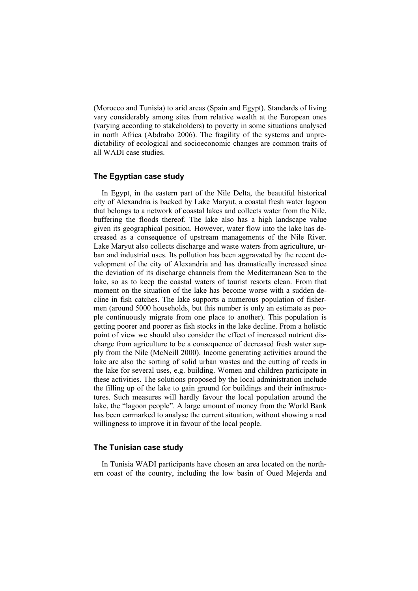(Morocco and Tunisia) to arid areas (Spain and Egypt). Standards of living vary considerably among sites from relative wealth at the European ones (varying according to stakeholders) to poverty in some situations analysed in north Africa (Abdrabo 2006). The fragility of the systems and unpredictability of ecological and socioeconomic changes are common traits of all WADI case studies.

### **The Egyptian case study**

In Egypt, in the eastern part of the Nile Delta, the beautiful historical city of Alexandria is backed by Lake Maryut, a coastal fresh water lagoon that belongs to a network of coastal lakes and collects water from the Nile, buffering the floods thereof. The lake also has a high landscape value given its geographical position. However, water flow into the lake has decreased as a consequence of upstream managements of the Nile River. Lake Maryut also collects discharge and waste waters from agriculture, urban and industrial uses. Its pollution has been aggravated by the recent development of the city of Alexandria and has dramatically increased since the deviation of its discharge channels from the Mediterranean Sea to the lake, so as to keep the coastal waters of tourist resorts clean. From that moment on the situation of the lake has become worse with a sudden decline in fish catches. The lake supports a numerous population of fishermen (around 5000 households, but this number is only an estimate as people continuously migrate from one place to another). This population is getting poorer and poorer as fish stocks in the lake decline. From a holistic point of view we should also consider the effect of increased nutrient discharge from agriculture to be a consequence of decreased fresh water supply from the Nile (McNeill 2000). Income generating activities around the lake are also the sorting of solid urban wastes and the cutting of reeds in the lake for several uses, e.g. building. Women and children participate in these activities. The solutions proposed by the local administration include the filling up of the lake to gain ground for buildings and their infrastructures. Such measures will hardly favour the local population around the lake, the "lagoon people". A large amount of money from the World Bank has been earmarked to analyse the current situation, without showing a real willingness to improve it in favour of the local people.

#### **The Tunisian case study**

In Tunisia WADI participants have chosen an area located on the northern coast of the country, including the low basin of Oued Mejerda and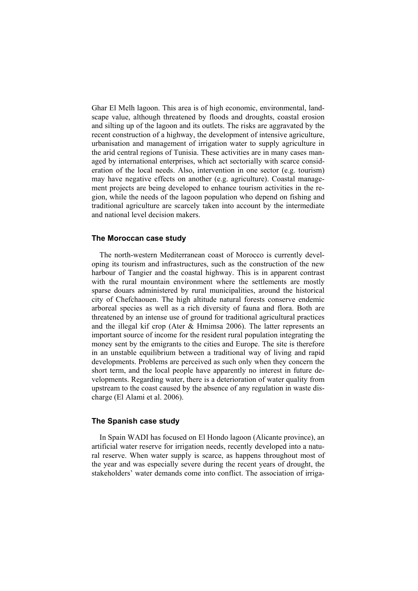Ghar El Melh lagoon. This area is of high economic, environmental, landscape value, although threatened by floods and droughts, coastal erosion and silting up of the lagoon and its outlets. The risks are aggravated by the recent construction of a highway, the development of intensive agriculture, urbanisation and management of irrigation water to supply agriculture in the arid central regions of Tunisia. These activities are in many cases managed by international enterprises, which act sectorially with scarce consideration of the local needs. Also, intervention in one sector (e.g. tourism) may have negative effects on another (e.g. agriculture). Coastal management projects are being developed to enhance tourism activities in the region, while the needs of the lagoon population who depend on fishing and traditional agriculture are scarcely taken into account by the intermediate and national level decision makers.

#### **The Moroccan case study**

The north-western Mediterranean coast of Morocco is currently developing its tourism and infrastructures, such as the construction of the new harbour of Tangier and the coastal highway. This is in apparent contrast with the rural mountain environment where the settlements are mostly sparse douars administered by rural municipalities, around the historical city of Chefchaouen. The high altitude natural forests conserve endemic arboreal species as well as a rich diversity of fauna and flora. Both are threatened by an intense use of ground for traditional agricultural practices and the illegal kif crop (Ater & Hmimsa 2006). The latter represents an important source of income for the resident rural population integrating the money sent by the emigrants to the cities and Europe. The site is therefore in an unstable equilibrium between a traditional way of living and rapid developments. Problems are perceived as such only when they concern the short term, and the local people have apparently no interest in future developments. Regarding water, there is a deterioration of water quality from upstream to the coast caused by the absence of any regulation in waste discharge (El Alami et al. 2006).

#### **The Spanish case study**

In Spain WADI has focused on El Hondo lagoon (Alicante province), an artificial water reserve for irrigation needs, recently developed into a natural reserve. When water supply is scarce, as happens throughout most of the year and was especially severe during the recent years of drought, the stakeholders' water demands come into conflict. The association of irriga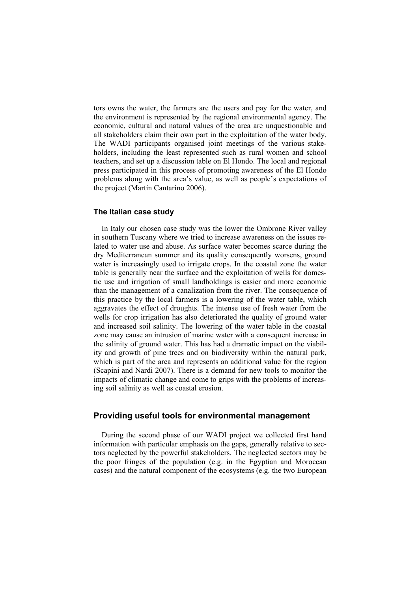tors owns the water, the farmers are the users and pay for the water, and the environment is represented by the regional environmental agency. The economic, cultural and natural values of the area are unquestionable and all stakeholders claim their own part in the exploitation of the water body. The WADI participants organised joint meetings of the various stakeholders, including the least represented such as rural women and school teachers, and set up a discussion table on El Hondo. The local and regional press participated in this process of promoting awareness of the El Hondo problems along with the area's value, as well as people's expectations of the project (Martín Cantarino 2006).

## **The Italian case study**

In Italy our chosen case study was the lower the Ombrone River valley in southern Tuscany where we tried to increase awareness on the issues related to water use and abuse. As surface water becomes scarce during the dry Mediterranean summer and its quality consequently worsens, ground water is increasingly used to irrigate crops. In the coastal zone the water table is generally near the surface and the exploitation of wells for domestic use and irrigation of small landholdings is easier and more economic than the management of a canalization from the river. The consequence of this practice by the local farmers is a lowering of the water table, which aggravates the effect of droughts. The intense use of fresh water from the wells for crop irrigation has also deteriorated the quality of ground water and increased soil salinity. The lowering of the water table in the coastal zone may cause an intrusion of marine water with a consequent increase in the salinity of ground water. This has had a dramatic impact on the viability and growth of pine trees and on biodiversity within the natural park, which is part of the area and represents an additional value for the region (Scapini and Nardi 2007). There is a demand for new tools to monitor the impacts of climatic change and come to grips with the problems of increasing soil salinity as well as coastal erosion.

## **Providing useful tools for environmental management**

During the second phase of our WADI project we collected first hand information with particular emphasis on the gaps, generally relative to sectors neglected by the powerful stakeholders. The neglected sectors may be the poor fringes of the population (e.g. in the Egyptian and Moroccan cases) and the natural component of the ecosystems (e.g. the two European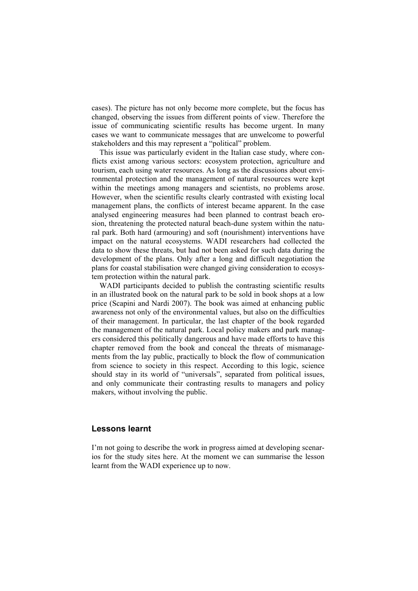cases). The picture has not only become more complete, but the focus has changed, observing the issues from different points of view. Therefore the issue of communicating scientific results has become urgent. In many cases we want to communicate messages that are unwelcome to powerful stakeholders and this may represent a "political" problem.

This issue was particularly evident in the Italian case study, where conflicts exist among various sectors: ecosystem protection, agriculture and tourism, each using water resources. As long as the discussions about environmental protection and the management of natural resources were kept within the meetings among managers and scientists, no problems arose. However, when the scientific results clearly contrasted with existing local management plans, the conflicts of interest became apparent. In the case analysed engineering measures had been planned to contrast beach erosion, threatening the protected natural beach-dune system within the natural park. Both hard (armouring) and soft (nourishment) interventions have impact on the natural ecosystems. WADI researchers had collected the data to show these threats, but had not been asked for such data during the development of the plans. Only after a long and difficult negotiation the plans for coastal stabilisation were changed giving consideration to ecosystem protection within the natural park.

WADI participants decided to publish the contrasting scientific results in an illustrated book on the natural park to be sold in book shops at a low price (Scapini and Nardi 2007). The book was aimed at enhancing public awareness not only of the environmental values, but also on the difficulties of their management. In particular, the last chapter of the book regarded the management of the natural park. Local policy makers and park managers considered this politically dangerous and have made efforts to have this chapter removed from the book and conceal the threats of mismanagements from the lay public, practically to block the flow of communication from science to society in this respect. According to this logic, science should stay in its world of "universals", separated from political issues, and only communicate their contrasting results to managers and policy makers, without involving the public.

# **Lessons learnt**

I'm not going to describe the work in progress aimed at developing scenarios for the study sites here. At the moment we can summarise the lesson learnt from the WADI experience up to now.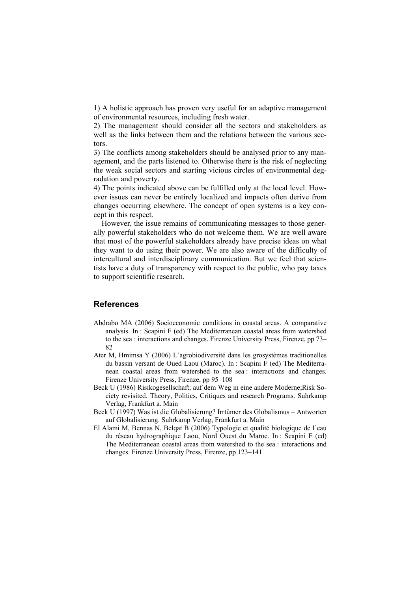1) A holistic approach has proven very useful for an adaptive management of environmental resources, including fresh water.

2) The management should consider all the sectors and stakeholders as well as the links between them and the relations between the various sectors.

3) The conflicts among stakeholders should be analysed prior to any management, and the parts listened to. Otherwise there is the risk of neglecting the weak social sectors and starting vicious circles of environmental degradation and poverty.

4) The points indicated above can be fulfilled only at the local level. However issues can never be entirely localized and impacts often derive from changes occurring elsewhere. The concept of open systems is a key concept in this respect.

However, the issue remains of communicating messages to those generally powerful stakeholders who do not welcome them. We are well aware that most of the powerful stakeholders already have precise ideas on what they want to do using their power. We are also aware of the difficulty of intercultural and interdisciplinary communication. But we feel that scientists have a duty of transparency with respect to the public, who pay taxes to support scientific research.

## **References**

- Abdrabo MA (2006) Socioeconomic conditions in coastal areas. A comparative analysis. In : Scapini F (ed) The Mediterranean coastal areas from watershed to the sea : interactions and changes. Firenze University Press, Firenze, pp 73– 82
- Ater M, Hmimsa Y (2006) L'agrobiodiversité dans les grosystèmes traditionelles du bassin versant de Oued Laou (Maroc). In : Scapini F (ed) The Mediterranean coastal areas from watershed to the sea : interactions and changes. Firenze University Press, Firenze, pp 95–108
- Beck U (1986) Risikogesellschaft; auf dem Weg in eine andere Moderne;Risk Society revisited. Theory, Politics, Critiques and research Programs. Suhrkamp Verlag, Frankfurt a. Main
- Beck U (1997) Was ist die Globalisierung? Irrtümer des Globalismus Antworten auf Globalisierung. Suhrkamp Verlag, Frankfurt a. Main
- El Alami M, Bennas N, Belqat B (2006) Typologie et qualité biologique de l'eau du réseau hydrographique Laou, Nord Ouest du Maroc. In : Scapini F (ed) The Mediterranean coastal areas from watershed to the sea : interactions and changes. Firenze University Press, Firenze, pp 123–141